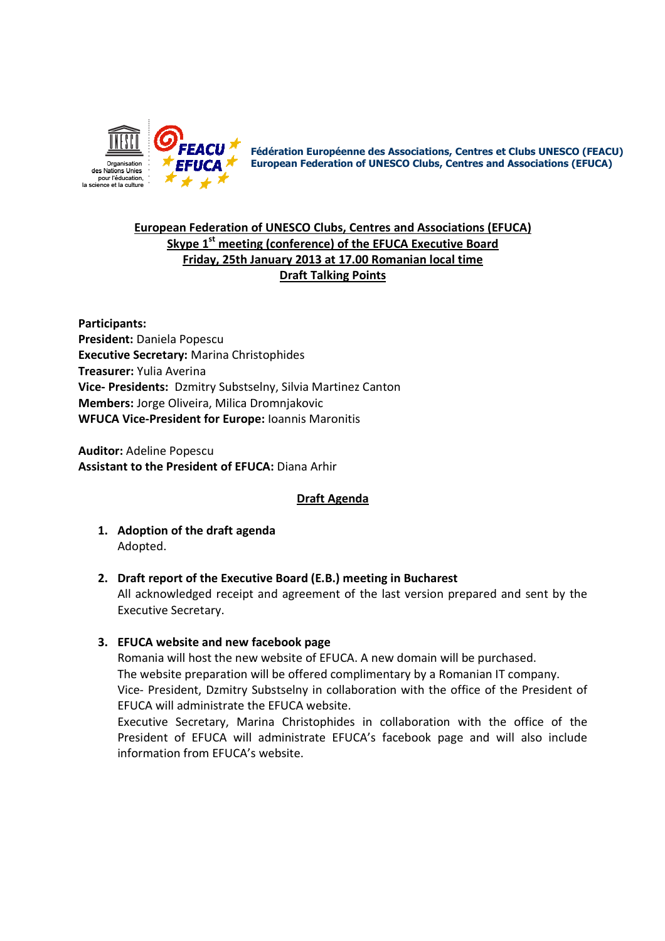

Fédération Européenne des Associations, Centres et Clubs UNESCO (FEACU) European Federation of UNESCO Clubs, Centres and Associations (EFUCA)

# European Federation of UNESCO Clubs, Centres and Associations (EFUCA) Skype 1<sup>st</sup> meeting (conference) of the EFUCA Executive Board Friday, 25th January 2013 at 17.00 Romanian local time Draft Talking Points

Participants: President: Daniela Popescu Executive Secretary: Marina Christophides Treasurer: Yulia Averina Vice- Presidents: Dzmitry Substselny, Silvia Martinez Canton Members: Jorge Oliveira, Milica Dromnjakovic WFUCA Vice-President for Europe: Ioannis Maronitis

Auditor: Adeline Popescu Assistant to the President of EFUCA: Diana Arhir

## Draft Agenda

- 1. Adoption of the draft agenda Adopted.
- 2. Draft report of the Executive Board (E.B.) meeting in Bucharest

All acknowledged receipt and agreement of the last version prepared and sent by the Executive Secretary.

3. EFUCA website and new facebook page

Romania will host the new website of EFUCA. A new domain will be purchased. The website preparation will be offered complimentary by a Romanian IT company. Vice- President, Dzmitry Substselny in collaboration with the office of the President of EFUCA will administrate the EFUCA website.

Executive Secretary, Marina Christophides in collaboration with the office of the President of EFUCA will administrate EFUCA's facebook page and will also include information from EFUCA's website.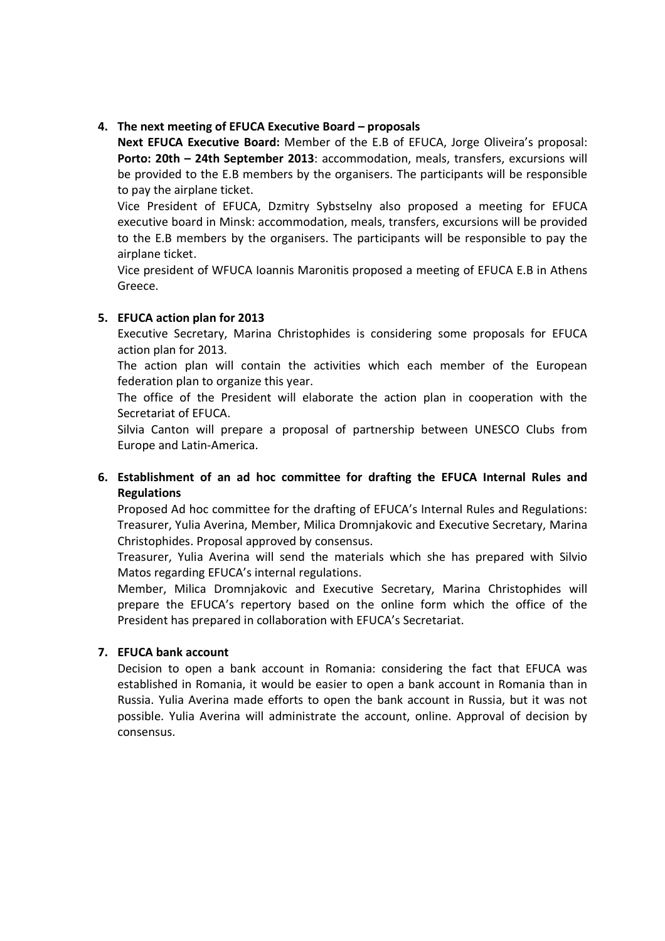### 4. The next meeting of EFUCA Executive Board – proposals

Next EFUCA Executive Board: Member of the E.B of EFUCA, Jorge Oliveira's proposal: Porto: 20th - 24th September 2013: accommodation, meals, transfers, excursions will be provided to the E.B members by the organisers. The participants will be responsible to pay the airplane ticket.

Vice President of EFUCA, Dzmitry Sybstselny also proposed a meeting for EFUCA executive board in Minsk: accommodation, meals, transfers, excursions will be provided to the E.B members by the organisers. The participants will be responsible to pay the airplane ticket.

Vice president of WFUCA Ioannis Maronitis proposed a meeting of EFUCA E.B in Athens Greece.

### 5. EFUCA action plan for 2013

Executive Secretary, Marina Christophides is considering some proposals for EFUCA action plan for 2013.

The action plan will contain the activities which each member of the European federation plan to organize this year.

The office of the President will elaborate the action plan in cooperation with the Secretariat of EFUCA.

Silvia Canton will prepare a proposal of partnership between UNESCO Clubs from Europe and Latin-America.

## 6. Establishment of an ad hoc committee for drafting the EFUCA Internal Rules and **Regulations**

Proposed Ad hoc committee for the drafting of EFUCA's Internal Rules and Regulations: Treasurer, Yulia Averina, Member, Milica Dromnjakovic and Executive Secretary, Marina Christophides. Proposal approved by consensus.

Treasurer, Yulia Averina will send the materials which she has prepared with Silvio Matos regarding EFUCA's internal regulations.

Member, Milica Dromnjakovic and Executive Secretary, Marina Christophides will prepare the EFUCA's repertory based on the online form which the office of the President has prepared in collaboration with EFUCA's Secretariat.

### 7. EFUCA bank account

Decision to open a bank account in Romania: considering the fact that EFUCA was established in Romania, it would be easier to open a bank account in Romania than in Russia. Yulia Averina made efforts to open the bank account in Russia, but it was not possible. Yulia Averina will administrate the account, online. Approval of decision by consensus.